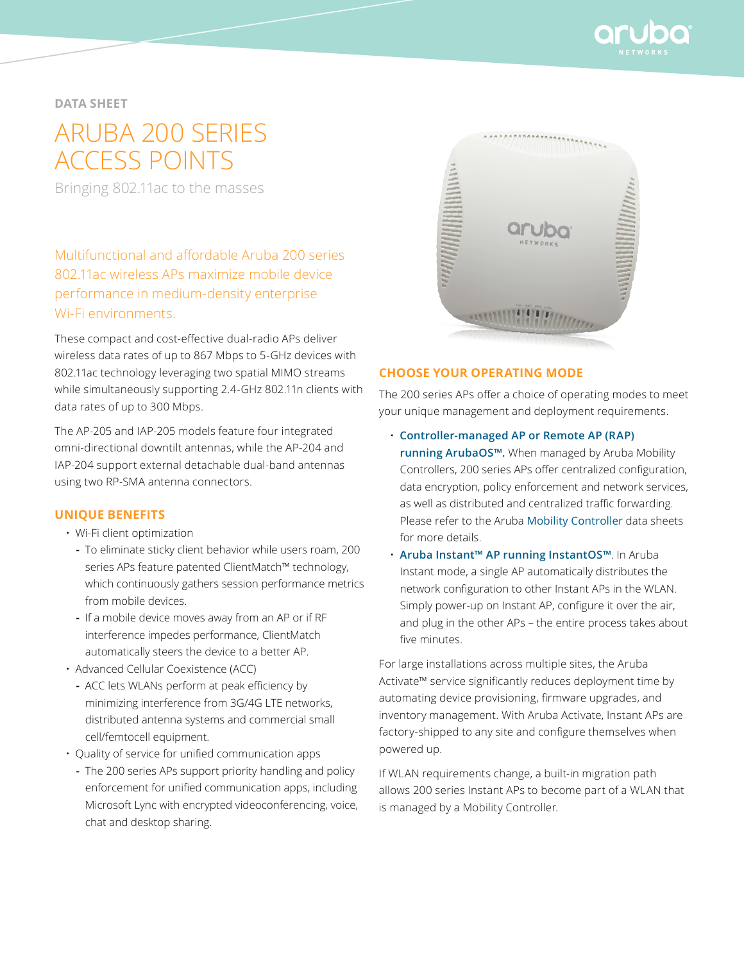

**data sheet**

# Aruba 200 SERIES ACCESS POINTS

Bringing 802.11ac to the masses

Multifunctional and affordable Aruba 200 series 802.11ac wireless APs maximize mobile device performance in medium-density enterprise Wi-Fi environments.

These compact and cost-effective dual-radio APs deliver wireless data rates of up to 867 Mbps to 5-GHz devices with 802.11ac technology leveraging two spatial MIMO streams while simultaneously supporting 2.4-GHz 802.11n clients with data rates of up to 300 Mbps.

The AP-205 and IAP-205 models feature four integrated omni-directional downtilt antennas, while the AP-204 and IAP-204 support external detachable dual-band antennas using two RP-SMA antenna connectors.

#### **UNIQUE BENEFITS**

- Wi-Fi client optimization
	- **-** To eliminate sticky client behavior while users roam, 200 series APs feature patented ClientMatch™ technology, which continuously gathers session performance metrics from mobile devices.
	- **-** If a mobile device moves away from an AP or if RF interference impedes performance, ClientMatch automatically steers the device to a better AP.
- Advanced Cellular Coexistence (ACC)
	- **-** ACC lets WLANs perform at peak efficiency by minimizing interference from 3G/4G LTE networks, distributed antenna systems and commercial small cell/femtocell equipment.
- Quality of service for unified communication apps
	- **-** The 200 series APs support priority handling and policy enforcement for unified communication apps, including Microsoft Lync with encrypted videoconferencing, voice, chat and desktop sharing.



#### **CHOOSE YOUR OPERATING MODE**

The 200 series APs offer a choice of operating modes to meet your unique management and deployment requirements.

- **Controller-managed AP or Remote AP (RAP) running ArubaOS™.** When managed by Aruba Mobility Controllers, 200 series APs offer centralized configuration, data encryption, policy enforcement and network services, as well as distributed and centralized traffic forwarding. Please refer to the Aruba [Mobility Controller](http://www.arubanetworks.com/products/mobility-controllers/) data sheets for more details.
- **Aruba Instant™ AP running InstantOS™**. In Aruba Instant mode, a single AP automatically distributes the network configuration to other Instant APs in the WLAN. Simply power-up on Instant AP, configure it over the air, and plug in the other APs – the entire process takes about five minutes.

For large installations across multiple sites, the Aruba Activate™ service significantly reduces deployment time by automating device provisioning, firmware upgrades, and inventory management. With Aruba Activate, Instant APs are factory-shipped to any site and configure themselves when powered up.

If WLAN requirements change, a built-in migration path allows 200 series Instant APs to become part of a WLAN that is managed by a Mobility Controller.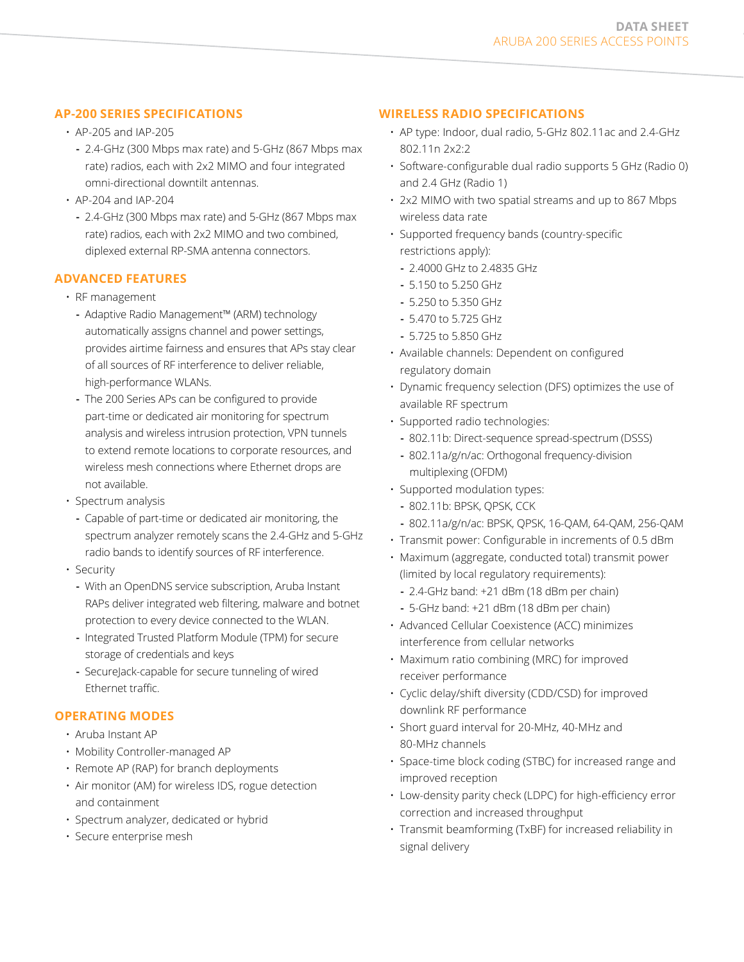# **AP-200 SERIES SPECIFICATIONS**

- AP-205 and IAP-205
	- **-** 2.4-GHz (300 Mbps max rate) and 5-GHz (867 Mbps max rate) radios, each with 2x2 MIMO and four integrated omni-directional downtilt antennas.
- AP-204 and IAP-204
	- **-** 2.4-GHz (300 Mbps max rate) and 5-GHz (867 Mbps max rate) radios, each with 2x2 MIMO and two combined, diplexed external RP-SMA antenna connectors.

### **ADVANCED FEATURES**

- RF management
	- **-** Adaptive Radio Management™ (ARM) technology automatically assigns channel and power settings, provides airtime fairness and ensures that APs stay clear of all sources of RF interference to deliver reliable, high-performance WLANs.
	- **-** The 200 Series APs can be configured to provide part-time or dedicated air monitoring for spectrum analysis and wireless intrusion protection, VPN tunnels to extend remote locations to corporate resources, and wireless mesh connections where Ethernet drops are not available.
- Spectrum analysis
- **-** Capable of part-time or dedicated air monitoring, the spectrum analyzer remotely scans the 2.4-GHz and 5-GHz radio bands to identify sources of RF interference.
- Security
	- **-** With an OpenDNS service subscription, Aruba Instant RAPs deliver integrated web filtering, malware and botnet protection to every device connected to the WLAN.
	- **-** Integrated Trusted Platform Module (TPM) for secure storage of credentials and keys
	- **-** SecureJack-capable for secure tunneling of wired Ethernet traffic.

# **OPERATING MODES**

- Aruba Instant AP
- Mobility Controller-managed AP
- Remote AP (RAP) for branch deployments
- Air monitor (AM) for wireless IDS, rogue detection and containment
- Spectrum analyzer, dedicated or hybrid
- Secure enterprise mesh

# **WIRELESS RADIO SPECIFICATIONS**

- AP type: Indoor, dual radio, 5-GHz 802.11ac and 2.4-GHz 802.11n 2x2:2
- Software-configurable dual radio supports 5 GHz (Radio 0) and 2.4 GHz (Radio 1)
- 2x2 MIMO with two spatial streams and up to 867 Mbps wireless data rate
- Supported frequency bands (country-specific restrictions apply):
	- **-** 2.4000 GHz to 2.4835 GHz
	- **-** 5.150 to 5.250 GHz
	- **-** 5.250 to 5.350 GHz
	- **-** 5.470 to 5.725 GHz
	- **-** 5.725 to 5.850 GHz
- Available channels: Dependent on configured regulatory domain
- Dynamic frequency selection (DFS) optimizes the use of available RF spectrum
- Supported radio technologies:
	- **-** 802.11b: Direct-sequence spread-spectrum (DSSS)
	- **-** 802.11a/g/n/ac: Orthogonal frequency-division multiplexing (OFDM)
- Supported modulation types:
	- **-** 802.11b: BPSK, QPSK, CCK
- **-** 802.11a/g/n/ac: BPSK, QPSK, 16-QAM, 64-QAM, 256-QAM
- Transmit power: Configurable in increments of 0.5 dBm
- Maximum (aggregate, conducted total) transmit power (limited by local regulatory requirements):
	- **-** 2.4-GHz band: +21 dBm (18 dBm per chain)
	- **-** 5-GHz band: +21 dBm (18 dBm per chain)
- Advanced Cellular Coexistence (ACC) minimizes interference from cellular networks
- Maximum ratio combining (MRC) for improved receiver performance
- Cyclic delay/shift diversity (CDD/CSD) for improved downlink RF performance
- Short guard interval for 20-MHz, 40-MHz and 80-MHz channels
- Space-time block coding (STBC) for increased range and improved reception
- Low-density parity check (LDPC) for high-efficiency error correction and increased throughput
- Transmit beamforming (TxBF) for increased reliability in signal delivery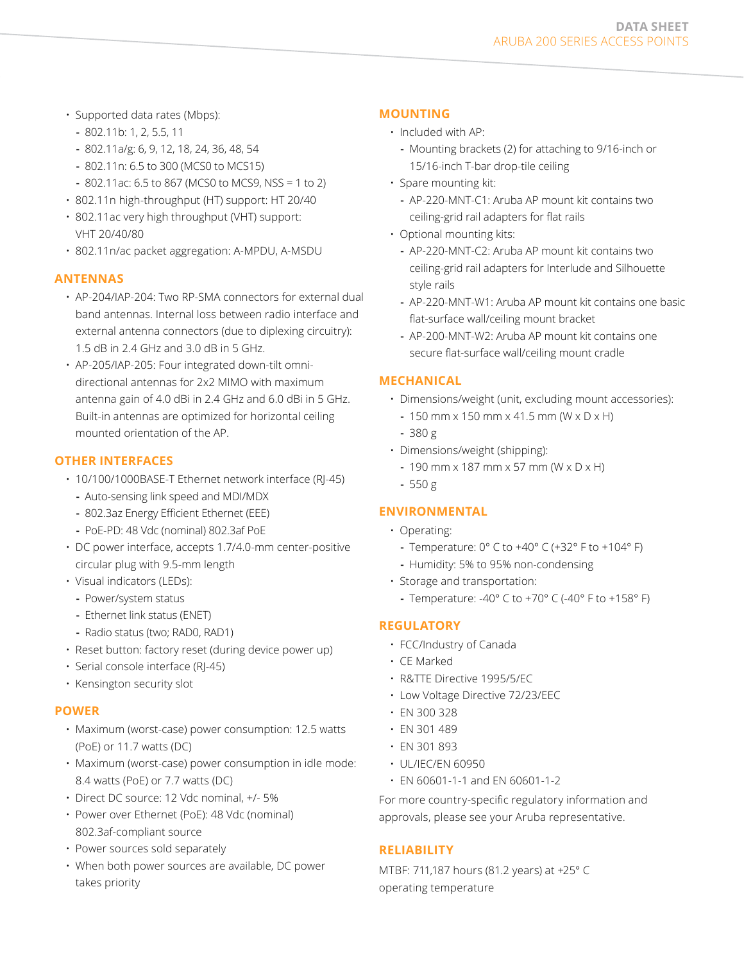- Supported data rates (Mbps):
	- **-** 802.11b: 1, 2, 5.5, 11
	- **-** 802.11a/g: 6, 9, 12, 18, 24, 36, 48, 54
	- **-** 802.11n: 6.5 to 300 (MCS0 to MCS15)
	- **-** 802.11ac: 6.5 to 867 (MCS0 to MCS9, NSS = 1 to 2)
- 802.11n high-throughput (HT) support: HT 20/40
- 802.11ac very high throughput (VHT) support: VHT 20/40/80
- 802.11n/ac packet aggregation: A-MPDU, A-MSDU

#### **ANTENNAS**

- AP-204/IAP-204: Two RP-SMA connectors for external dual band antennas. Internal loss between radio interface and external antenna connectors (due to diplexing circuitry): 1.5 dB in 2.4 GHz and 3.0 dB in 5 GHz.
- AP-205/IAP-205: Four integrated down-tilt omnidirectional antennas for 2x2 MIMO with maximum antenna gain of 4.0 dBi in 2.4 GHz and 6.0 dBi in 5 GHz. Built-in antennas are optimized for horizontal ceiling mounted orientation of the AP.

#### **other Interfaces**

- 10/100/1000BASE-T Ethernet network interface (RJ-45) **-** Auto-sensing link speed and MDI/MDX
	- **-** 802.3az Energy Efficient Ethernet (EEE)
	- **-** PoE-PD: 48 Vdc (nominal) 802.3af PoE
- DC power interface, accepts 1.7/4.0-mm center-positive circular plug with 9.5-mm length
- Visual indicators (LEDs):
	- **-** Power/system status
	- **-** Ethernet link status (ENET)
	- **-** Radio status (two; RAD0, RAD1)
- Reset button: factory reset (during device power up)
- Serial console interface (RJ-45)
- Kensington security slot

#### **POWER**

- Maximum (worst-case) power consumption: 12.5 watts (PoE) or 11.7 watts (DC)
- Maximum (worst-case) power consumption in idle mode: 8.4 watts (PoE) or 7.7 watts (DC)
- Direct DC source: 12 Vdc nominal, +/- 5%
- Power over Ethernet (PoE): 48 Vdc (nominal) 802.3af-compliant source
- Power sources sold separately
- When both power sources are available, DC power takes priority

#### **MOUNTING**

- Included with AP:
	- **-** Mounting brackets (2) for attaching to 9/16-inch or 15/16-inch T-bar drop-tile ceiling
- Spare mounting kit:
	- **-** AP-220-MNT-C1: Aruba AP mount kit contains two ceiling-grid rail adapters for flat rails
- Optional mounting kits:
	- **-** AP-220-MNT-C2: Aruba AP mount kit contains two ceiling-grid rail adapters for Interlude and Silhouette style rails
	- **-** AP-220-MNT-W1: Aruba AP mount kit contains one basic flat-surface wall/ceiling mount bracket
	- **-** AP-200-MNT-W2: Aruba AP mount kit contains one secure flat-surface wall/ceiling mount cradle

#### **MECHANICAL**

- Dimensions/weight (unit, excluding mount accessories):
	- **-** 150 mm x 150 mm x 41.5 mm (W x D x H)
	- **-** 380 g
- Dimensions/weight (shipping):
	- **-** 190 mm x 187 mm x 57 mm (W x D x H)
- **-** 550 g

#### **ENVIRONMENTAL**

- Operating:
	- **-** Temperature: 0° C to +40° C (+32° F to +104° F)
	- **-** Humidity: 5% to 95% non-condensing
- Storage and transportation:
	- **-** Temperature: -40° C to +70° C (-40° F to +158° F)

#### **Regulatory**

- FCC/Industry of Canada
- CE Marked
- R&TTE Directive 1995/5/EC
- Low Voltage Directive 72/23/EEC
- EN 300 328
- EN 301 489
- EN 301 893
- UL/IEC/EN 60950
- EN 60601-1-1 and EN 60601-1-2

For more country-specific regulatory information and approvals, please see your Aruba representative.

#### **RELIABILITY**

MTBF: 711,187 hours (81.2 years) at +25° C operating temperature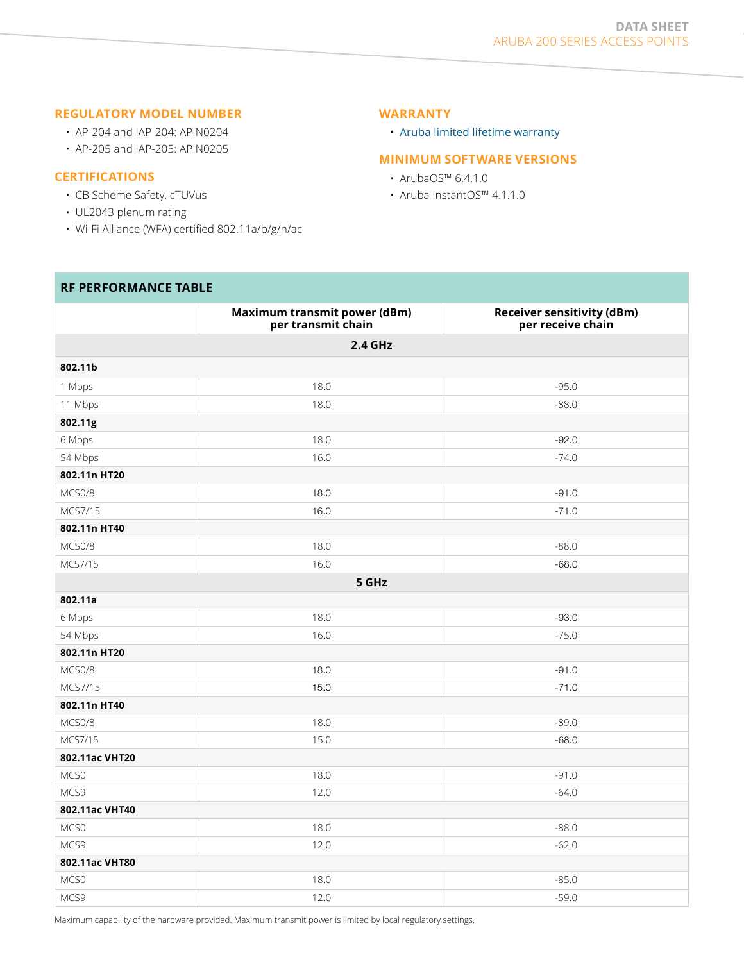#### **REGULATORY MODEL NUMBER**

- AP-204 and IAP-204: APIN0204
- AP-205 and IAP-205: APIN0205

#### **CERTIFICATIONS**

- CB Scheme Safety, cTUVus
- UL2043 plenum rating
- Wi-Fi Alliance (WFA) certified 802.11a/b/g/n/ac

#### **Warranty**

• Aruba [limited lifetime warranty](http://www.arubanetworks.com/support/lifetime_warranty.php)

## **Minimum software Versions**

- ArubaOS™ 6.4.1.0
- Aruba InstantOS™ 4.1.1.0

#### **RF PERFORMANCE TABLE**

|                | Maximum transmit power (dBm)<br>per transmit chain | <b>Receiver sensitivity (dBm)</b><br>per receive chain |  |  |  |  |  |
|----------------|----------------------------------------------------|--------------------------------------------------------|--|--|--|--|--|
| 2.4 GHz        |                                                    |                                                        |  |  |  |  |  |
| 802.11b        |                                                    |                                                        |  |  |  |  |  |
| 1 Mbps         | 18.0                                               | $-95.0$                                                |  |  |  |  |  |
| 11 Mbps        | 18.0                                               | $-88.0$                                                |  |  |  |  |  |
| 802.11g        |                                                    |                                                        |  |  |  |  |  |
| 6 Mbps         | 18.0                                               | $-92.0$                                                |  |  |  |  |  |
| 54 Mbps        | 16.0                                               | $-74.0$                                                |  |  |  |  |  |
| 802.11n HT20   |                                                    |                                                        |  |  |  |  |  |
| MCS0/8         | 18.0                                               | $-91.0$                                                |  |  |  |  |  |
| MCS7/15        | 16.0                                               | $-71.0$                                                |  |  |  |  |  |
| 802.11n HT40   |                                                    |                                                        |  |  |  |  |  |
| MCS0/8         | 18.0                                               | $-88.0$                                                |  |  |  |  |  |
| MCS7/15        | 16.0                                               | $-68.0$                                                |  |  |  |  |  |
|                | 5 GHz                                              |                                                        |  |  |  |  |  |
| 802.11a        |                                                    |                                                        |  |  |  |  |  |
| 6 Mbps         | 18.0                                               | $-93.0$                                                |  |  |  |  |  |
| 54 Mbps        | 16.0                                               | $-75.0$                                                |  |  |  |  |  |
| 802.11n HT20   |                                                    |                                                        |  |  |  |  |  |
| MCS0/8         | 18.0                                               | $-91.0$                                                |  |  |  |  |  |
| MCS7/15        | 15.0                                               | $-71.0$                                                |  |  |  |  |  |
| 802.11n HT40   |                                                    |                                                        |  |  |  |  |  |
| MCS0/8         | 18.0                                               | $-89.0$                                                |  |  |  |  |  |
| MCS7/15        | 15.0                                               | $-68.0$                                                |  |  |  |  |  |
| 802.11ac VHT20 |                                                    |                                                        |  |  |  |  |  |
| MCS0           | 18.0                                               | $-91.0$                                                |  |  |  |  |  |
| MCS9           | 12.0                                               | $-64.0$                                                |  |  |  |  |  |
| 802.11ac VHT40 |                                                    |                                                        |  |  |  |  |  |
| MCS0           | 18.0                                               | $-88.0$                                                |  |  |  |  |  |
| MCS9           | 12.0                                               | $-62.0$                                                |  |  |  |  |  |
| 802.11ac VHT80 |                                                    |                                                        |  |  |  |  |  |
| MCS0           | 18.0                                               | $-85.0$                                                |  |  |  |  |  |
| MCS9           | 12.0                                               | $-59.0$                                                |  |  |  |  |  |

Maximum capability of the hardware provided. Maximum transmit power is limited by local regulatory settings.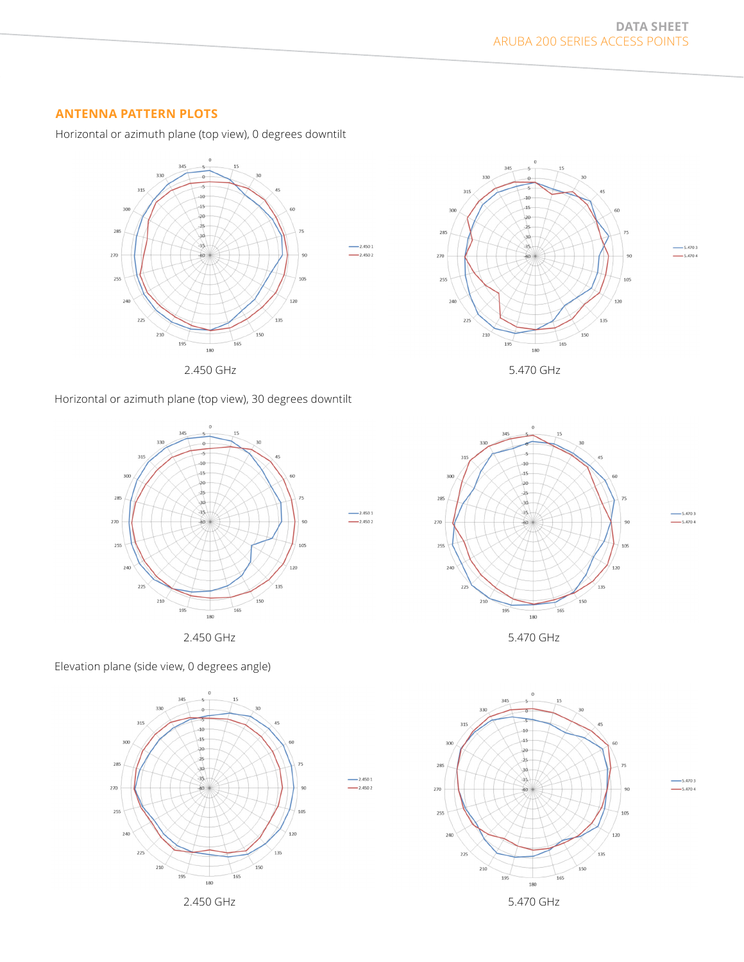### **ANTENNA PATTERN PLOTS**

Horizontal or azimuth plane (top view), 0 degrees downtilt







 $2.4501$ 

 $2.4501$ 

 $-2.4502$ 

 $-2.4502$ 

Elevation plane (side view, 0 degrees angle)









 $-5.4703$  $-5.4704$ 

 $-5.4703$ 

 $-5.4704$ 

5.4703

 $-5.4704$ 



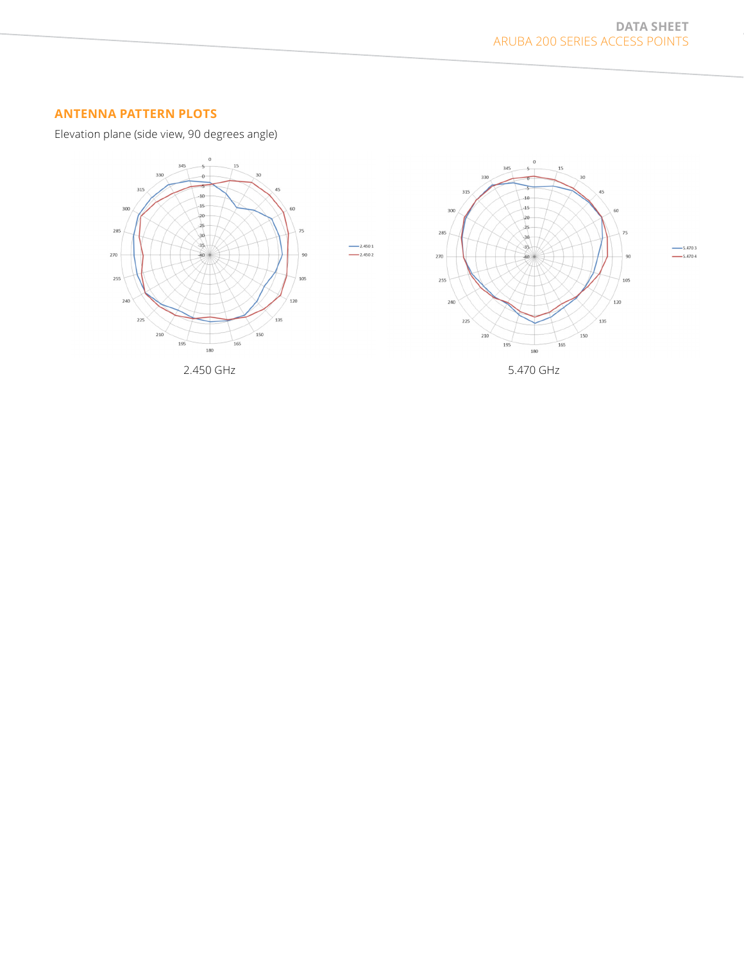$-$ 5.470 3<br>--- 5.470 4

 $10<sup>6</sup>$ 

 $120$ 

135

### **ANTENNA PATTERN PLOTS**

Elevation plane (side view, 90 degrees angle)